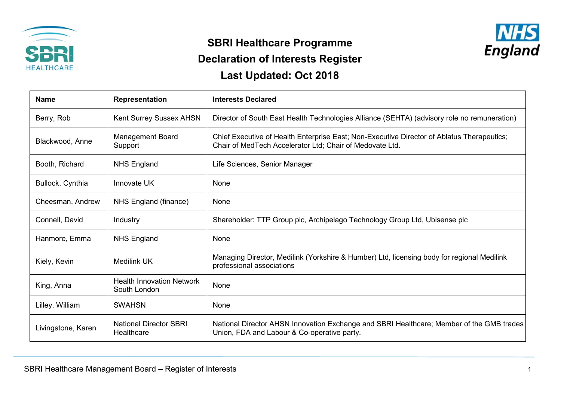

## **SBRI Healthcare Programme**



## **Declaration of Interests Register**

**Last Updated: Oct 2018**

| <b>Name</b>        | Representation                                   | <b>Interests Declared</b>                                                                                                                              |
|--------------------|--------------------------------------------------|--------------------------------------------------------------------------------------------------------------------------------------------------------|
| Berry, Rob         | Kent Surrey Sussex AHSN                          | Director of South East Health Technologies Alliance (SEHTA) (advisory role no remuneration)                                                            |
| Blackwood, Anne    | <b>Management Board</b><br>Support               | Chief Executive of Health Enterprise East; Non-Executive Director of Ablatus Therapeutics;<br>Chair of MedTech Accelerator Ltd; Chair of Medovate Ltd. |
| Booth, Richard     | <b>NHS England</b>                               | Life Sciences, Senior Manager                                                                                                                          |
| Bullock, Cynthia   | Innovate UK                                      | None                                                                                                                                                   |
| Cheesman, Andrew   | NHS England (finance)                            | None                                                                                                                                                   |
| Connell, David     | Industry                                         | Shareholder: TTP Group plc, Archipelago Technology Group Ltd, Ubisense plc                                                                             |
| Hanmore, Emma      | <b>NHS England</b>                               | None                                                                                                                                                   |
| Kiely, Kevin       | Medilink UK                                      | Managing Director, Medilink (Yorkshire & Humber) Ltd, licensing body for regional Medilink<br>professional associations                                |
| King, Anna         | <b>Health Innovation Network</b><br>South London | None                                                                                                                                                   |
| Lilley, William    | <b>SWAHSN</b>                                    | None                                                                                                                                                   |
| Livingstone, Karen | <b>National Director SBRI</b><br>Healthcare      | National Director AHSN Innovation Exchange and SBRI Healthcare; Member of the GMB trades<br>Union, FDA and Labour & Co-operative party.                |